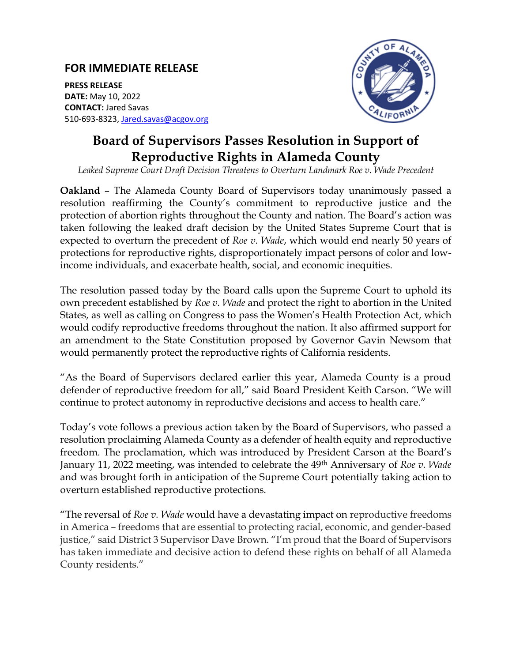## **FOR IMMEDIATE RELEASE**

**PRESS RELEASE DATE:** May 10, 2022 **CONTACT:** Jared Savas 510-693-8323, [Jared.savas@acgov.org](mailto:Jared.savas@acgov.org)



## **Board of Supervisors Passes Resolution in Support of Reproductive Rights in Alameda County**

*Leaked Supreme Court Draft Decision Threatens to Overturn Landmark Roe v. Wade Precedent*

**Oakland** – The Alameda County Board of Supervisors today unanimously passed a resolution reaffirming the County's commitment to reproductive justice and the protection of abortion rights throughout the County and nation. The Board's action was taken following the leaked draft decision by the United States Supreme Court that is expected to overturn the precedent of *Roe v. Wade*, which would end nearly 50 years of protections for reproductive rights, disproportionately impact persons of color and lowincome individuals, and exacerbate health, social, and economic inequities.

The resolution passed today by the Board calls upon the Supreme Court to uphold its own precedent established by *Roe v. Wade* and protect the right to abortion in the United States, as well as calling on Congress to pass the Women's Health Protection Act, which would codify reproductive freedoms throughout the nation. It also affirmed support for an amendment to the State Constitution proposed by Governor Gavin Newsom that would permanently protect the reproductive rights of California residents.

"As the Board of Supervisors declared earlier this year, Alameda County is a proud defender of reproductive freedom for all," said Board President Keith Carson. "We will continue to protect autonomy in reproductive decisions and access to health care."

Today's vote follows a previous action taken by the Board of Supervisors, who passed a resolution proclaiming Alameda County as a defender of health equity and reproductive freedom. The proclamation, which was introduced by President Carson at the Board's January 11, 2022 meeting, was intended to celebrate the 49th Anniversary of *Roe v. Wade* and was brought forth in anticipation of the Supreme Court potentially taking action to overturn established reproductive protections.

"The reversal of *Roe v. Wade* would have a devastating impact on reproductive freedoms in America – freedoms that are essential to protecting racial, economic, and gender-based justice," said District 3 Supervisor Dave Brown. "I'm proud that the Board of Supervisors has taken immediate and decisive action to defend these rights on behalf of all Alameda County residents."